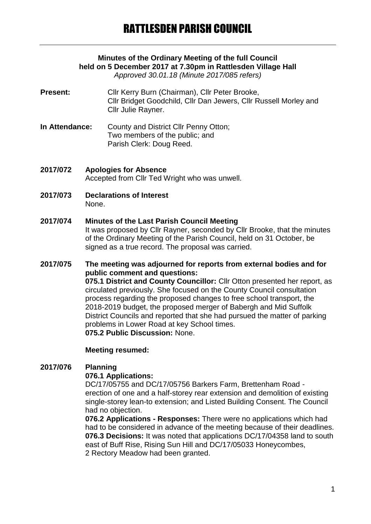# **Minutes of the Ordinary Meeting of the full Council held on 5 December 2017 at 7.30pm in Rattlesden Village Hall**

*Approved 30.01.18 (Minute 2017/085 refers)*

- Present: Cllr Kerry Burn (Chairman), Cllr Peter Brooke, Cllr Bridget Goodchild, Cllr Dan Jewers, Cllr Russell Morley and Cllr Julie Rayner.
- **In Attendance:** County and District Cllr Penny Otton; Two members of the public; and Parish Clerk: Doug Reed.
- **2017/072 Apologies for Absence** Accepted from Cllr Ted Wright who was unwell.
- **2017/073 Declarations of Interest** None.

# **2017/074 Minutes of the Last Parish Council Meeting** It was proposed by Cllr Rayner, seconded by Cllr Brooke, that the minutes

of the Ordinary Meeting of the Parish Council, held on 31 October, be signed as a true record. The proposal was carried.

## **2017/075 The meeting was adjourned for reports from external bodies and for public comment and questions: 075.1 District and County Councillor:** Cllr Otton presented her report, as circulated previously. She focused on the County Council consultation process regarding the proposed changes to free school transport, the 2018-2019 budget, the proposed merger of Babergh and Mid Suffolk District Councils and reported that she had pursued the matter of parking problems in Lower Road at key School times. **075.2 Public Discussion:** None.

# **Meeting resumed:**

# **2017/076 Planning**

## **076.1 Applications:**

DC/17/05755 and DC/17/05756 Barkers Farm, Brettenham Road erection of one and a half-storey rear extension and demolition of existing single-storey lean-to extension; and Listed Building Consent. The Council had no objection.

**076.2 Applications - Responses:** There were no applications which had had to be considered in advance of the meeting because of their deadlines. **076.3 Decisions:** It was noted that applications DC/17/04358 land to south east of Buff Rise, Rising Sun Hill and DC/17/05033 Honeycombes, 2 Rectory Meadow had been granted.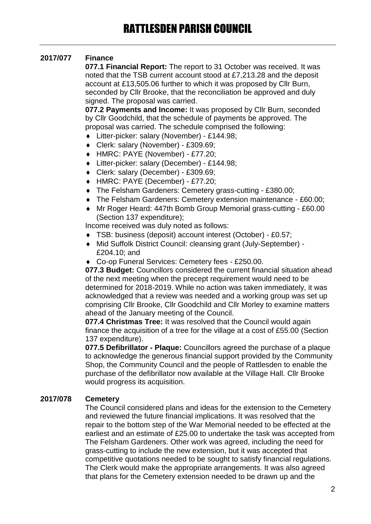# **2017/077 Finance**

**077.1 Financial Report:** The report to 31 October was received. It was noted that the TSB current account stood at £7,213.28 and the deposit account at £13,505.06 further to which it was proposed by Cllr Burn, seconded by Cllr Brooke, that the reconciliation be approved and duly signed. The proposal was carried.

**077.2 Payments and Income:** It was proposed by Cllr Burn, seconded by Cllr Goodchild, that the schedule of payments be approved. The proposal was carried. The schedule comprised the following:

- Litter-picker: salary (November) £144.98;
- Clerk: salary (November) £309.69;
- HMRC: PAYE (November) £77.20;
- Litter-picker: salary (December) £144.98;
- Clerk: salary (December) £309.69;
- HMRC: PAYE (December) £77.20;
- The Felsham Gardeners: Cemetery grass-cutting £380.00;
- The Felsham Gardeners: Cemetery extension maintenance £60.00;
- Mr Roger Heard: 447th Bomb Group Memorial grass-cutting £60.00 (Section 137 expenditure);

Income received was duly noted as follows:

- TSB: business (deposit) account interest (October) £0.57;
- Mid Suffolk District Council: cleansing grant (July-September) £204.10; and
- ◆ Co-op Funeral Services: Cemetery fees £250.00.

**077.3 Budget:** Councillors considered the current financial situation ahead of the next meeting when the precept requirement would need to be determined for 2018-2019. While no action was taken immediately, it was acknowledged that a review was needed and a working group was set up comprising Cllr Brooke, Cllr Goodchild and Cllr Morley to examine matters ahead of the January meeting of the Council.

**077.4 Christmas Tree:** It was resolved that the Council would again finance the acquisition of a tree for the village at a cost of £55.00 (Section 137 expenditure).

**077.5 Defibrillator - Plaque:** Councillors agreed the purchase of a plaque to acknowledge the generous financial support provided by the Community Shop, the Community Council and the people of Rattlesden to enable the purchase of the defibrillator now available at the Village Hall. Cllr Brooke would progress its acquisition.

## **2017/078 Cemetery**

The Council considered plans and ideas for the extension to the Cemetery and reviewed the future financial implications. It was resolved that the repair to the bottom step of the War Memorial needed to be effected at the earliest and an estimate of £25.00 to undertake the task was accepted from The Felsham Gardeners. Other work was agreed, including the need for grass-cutting to include the new extension, but it was accepted that competitive quotations needed to be sought to satisfy financial regulations. The Clerk would make the appropriate arrangements. It was also agreed that plans for the Cemetery extension needed to be drawn up and the